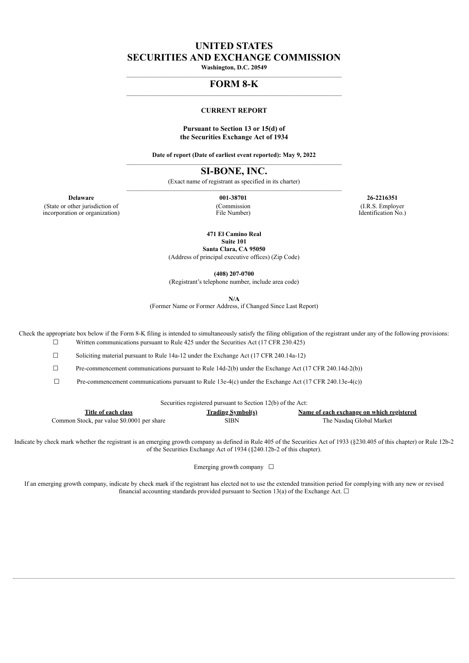# **UNITED STATES SECURITIES AND EXCHANGE COMMISSION**

**Washington, D.C. 20549**  $\mathcal{L}_\mathcal{L} = \{ \mathcal{L}_\mathcal{L} = \{ \mathcal{L}_\mathcal{L} = \{ \mathcal{L}_\mathcal{L} = \{ \mathcal{L}_\mathcal{L} = \{ \mathcal{L}_\mathcal{L} = \{ \mathcal{L}_\mathcal{L} = \{ \mathcal{L}_\mathcal{L} = \{ \mathcal{L}_\mathcal{L} = \{ \mathcal{L}_\mathcal{L} = \{ \mathcal{L}_\mathcal{L} = \{ \mathcal{L}_\mathcal{L} = \{ \mathcal{L}_\mathcal{L} = \{ \mathcal{L}_\mathcal{L} = \{ \mathcal{L}_\mathcal{$ 

#### **FORM 8-K**  $\mathcal{L}_\mathcal{L} = \{ \mathcal{L}_\mathcal{L} = \{ \mathcal{L}_\mathcal{L} = \{ \mathcal{L}_\mathcal{L} = \{ \mathcal{L}_\mathcal{L} = \{ \mathcal{L}_\mathcal{L} = \{ \mathcal{L}_\mathcal{L} = \{ \mathcal{L}_\mathcal{L} = \{ \mathcal{L}_\mathcal{L} = \{ \mathcal{L}_\mathcal{L} = \{ \mathcal{L}_\mathcal{L} = \{ \mathcal{L}_\mathcal{L} = \{ \mathcal{L}_\mathcal{L} = \{ \mathcal{L}_\mathcal{L} = \{ \mathcal{L}_\mathcal{$

#### **CURRENT REPORT**

#### **Pursuant to Section 13 or 15(d) of the Securities Exchange Act of 1934**

**Date of report (Date of earliest event reported): May 9, 2022**  $\mathcal{L}_\mathcal{L} = \{ \mathcal{L}_\mathcal{L} = \{ \mathcal{L}_\mathcal{L} = \{ \mathcal{L}_\mathcal{L} = \{ \mathcal{L}_\mathcal{L} = \{ \mathcal{L}_\mathcal{L} = \{ \mathcal{L}_\mathcal{L} = \{ \mathcal{L}_\mathcal{L} = \{ \mathcal{L}_\mathcal{L} = \{ \mathcal{L}_\mathcal{L} = \{ \mathcal{L}_\mathcal{L} = \{ \mathcal{L}_\mathcal{L} = \{ \mathcal{L}_\mathcal{L} = \{ \mathcal{L}_\mathcal{L} = \{ \mathcal{L}_\mathcal{$ 

**SI-BONE, INC.**

(Exact name of registrant as specified in its charter)  $\mathcal{L}_\text{max}$ 

(State or other jurisdiction of incorporation or organization) (Commission File Number)

**Delaware 001-38701 26-2216351** (I.R.S. Employer Identification No.)

**471 El Camino Real**

**Suite 101 Santa Clara, CA 95050**

(Address of principal executive offices) (Zip Code)

**(408) 207-0700**

(Registrant's telephone number, include area code)

**N/A**

(Former Name or Former Address, if Changed Since Last Report)

Check the appropriate box below if the Form 8-K filing is intended to simultaneously satisfy the filing obligation of the registrant under any of the following provisions:  $\Box$  Written communications pursuant to Rule 425 under the Securities Act (17 CFR 230.425)

☐ Soliciting material pursuant to Rule 14a-12 under the Exchange Act (17 CFR 240.14a-12)

☐ Pre-commencement communications pursuant to Rule 14d-2(b) under the Exchange Act (17 CFR 240.14d-2(b))

 $\Box$  Pre-commencement communications pursuant to Rule 13e-4(c) under the Exchange Act (17 CFR 240.13e-4(c))

| Securities registered pursuant to Section 12(b) of the Act: |  |  |
|-------------------------------------------------------------|--|--|

| Title of each class                        | <b>Trading Symbol(s)</b> | Name of each exchange on which registered |
|--------------------------------------------|--------------------------|-------------------------------------------|
| Common Stock, par value \$0.0001 per share | SIBN                     | The Nasdag Global Market                  |

Indicate by check mark whether the registrant is an emerging growth company as defined in Rule 405 of the Securities Act of 1933 (§230.405 of this chapter) or Rule 12b-2 of the Securities Exchange Act of 1934 (§240.12b-2 of this chapter).

Emerging growth company  $\Box$ 

If an emerging growth company, indicate by check mark if the registrant has elected not to use the extended transition period for complying with any new or revised financial accounting standards provided pursuant to Section 13(a) of the Exchange Act.  $\Box$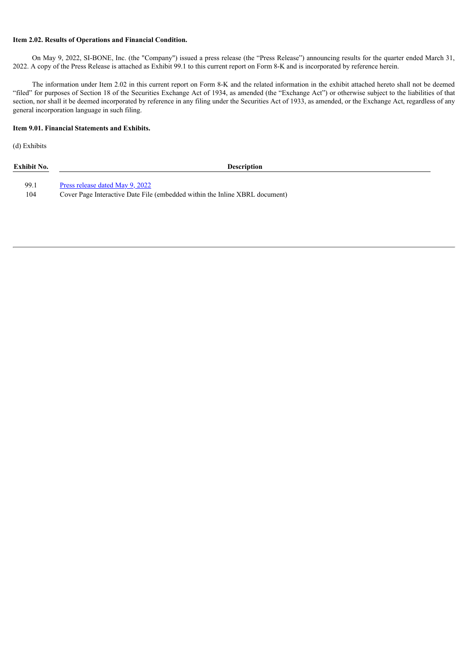#### **Item 2.02. Results of Operations and Financial Condition.**

On May 9, 2022, SI-BONE, Inc. (the "Company") issued a press release (the "Press Release") announcing results for the quarter ended March 31, 2022. A copy of the Press Release is attached as Exhibit 99.1 to this current report on Form 8-K and is incorporated by reference herein.

The information under Item 2.02 in this current report on Form 8-K and the related information in the exhibit attached hereto shall not be deemed "filed" for purposes of Section 18 of the Securities Exchange Act of 1934, as amended (the "Exchange Act") or otherwise subject to the liabilities of that section, nor shall it be deemed incorporated by reference in any filing under the Securities Act of 1933, as amended, or the Exchange Act, regardless of any general incorporation language in such filing.

#### **Item 9.01. Financial Statements and Exhibits.**

(d) Exhibits

| Exhibit No. | <b>Description</b>                                                          |
|-------------|-----------------------------------------------------------------------------|
| 99.1        | Press release dated May 9, 2022                                             |
| 104         | Cover Page Interactive Date File (embedded within the Inline XBRL document) |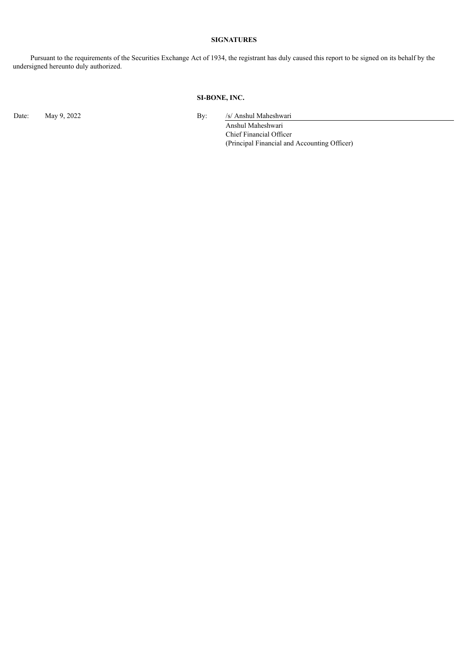# **SIGNATURES**

Pursuant to the requirements of the Securities Exchange Act of 1934, the registrant has duly caused this report to be signed on its behalf by the undersigned hereunto duly authorized.

## **SI-BONE, INC.**

Date: May 9, 2022 By: /s/ Anshul Maheshwari

Anshul Maheshwari Chief Financial Officer (Principal Financial and Accounting Officer)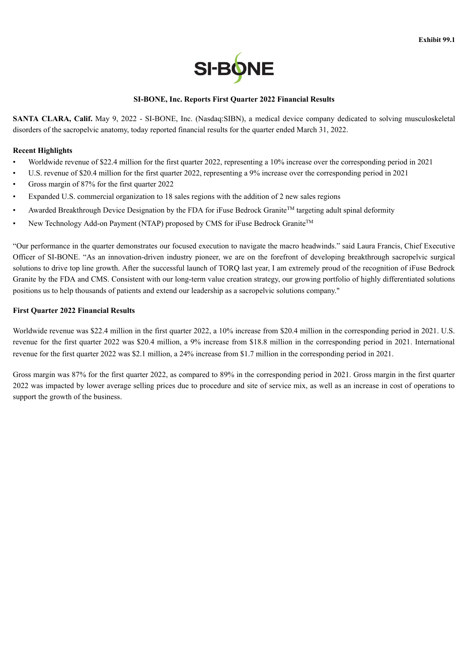

## **SI-BONE, Inc. Reports First Quarter 2022 Financial Results**

<span id="page-3-0"></span>**SANTA CLARA, Calif.** May 9, 2022 - SI-BONE, Inc. (Nasdaq:SIBN), a medical device company dedicated to solving musculoskeletal disorders of the sacropelvic anatomy, today reported financial results for the quarter ended March 31, 2022.

### **Recent Highlights**

- Worldwide revenue of \$22.4 million for the first quarter 2022, representing a 10% increase over the corresponding period in 2021
- U.S. revenue of \$20.4 million for the first quarter 2022, representing a 9% increase over the corresponding period in 2021
- Gross margin of 87% for the first quarter 2022
- Expanded U.S. commercial organization to 18 sales regions with the addition of 2 new sales regions
- Awarded Breakthrough Device Designation by the FDA for iFuse Bedrock Granite<sup>TM</sup> targeting adult spinal deformity
- New Technology Add-on Payment (NTAP) proposed by CMS for iFuse Bedrock Granite<sup>TM</sup>

"Our performance in the quarter demonstrates our focused execution to navigate the macro headwinds." said Laura Francis, Chief Executive Officer of SI-BONE. "As an innovation-driven industry pioneer, we are on the forefront of developing breakthrough sacropelvic surgical solutions to drive top line growth. After the successful launch of TORQ last year, I am extremely proud of the recognition of iFuse Bedrock Granite by the FDA and CMS. Consistent with our long-term value creation strategy, our growing portfolio of highly differentiated solutions positions us to help thousands of patients and extend our leadership as a sacropelvic solutions company."

#### **First Quarter 2022 Financial Results**

Worldwide revenue was \$22.4 million in the first quarter 2022, a 10% increase from \$20.4 million in the corresponding period in 2021. U.S. revenue for the first quarter 2022 was \$20.4 million, a 9% increase from \$18.8 million in the corresponding period in 2021. International revenue for the first quarter 2022 was \$2.1 million, a 24% increase from \$1.7 million in the corresponding period in 2021.

Gross margin was 87% for the first quarter 2022, as compared to 89% in the corresponding period in 2021. Gross margin in the first quarter 2022 was impacted by lower average selling prices due to procedure and site of service mix, as well as an increase in cost of operations to support the growth of the business.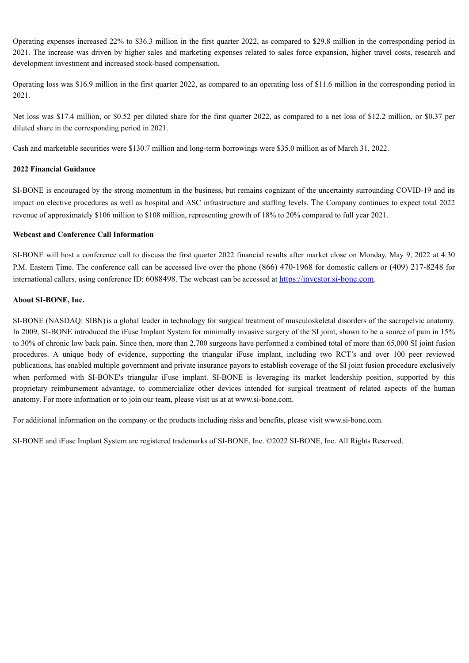Operating expenses increased 22% to \$36.3 million in the first quarter 2022, as compared to \$29.8 million in the corresponding period in 2021. The increase was driven by higher sales and marketing expenses related to sales force expansion, higher travel costs, research and development investment and increased stock-based compensation.

Operating loss was \$16.9 million in the first quarter 2022, as compared to an operating loss of \$11.6 million in the corresponding period in 2021.

Net loss was \$17.4 million, or \$0.52 per diluted share for the first quarter 2022, as compared to a net loss of \$12.2 million, or \$0.37 per diluted share in the corresponding period in 2021.

Cash and marketable securities were \$130.7 million and long-term borrowings were \$35.0 million as of March 31, 2022.

# **2022 Financial Guidance**

SI-BONE is encouraged by the strong momentum in the business, but remains cognizant of the uncertainty surrounding COVID-19 and its impact on elective procedures as well as hospital and ASC infrastructure and staffing levels. The Company continues to expect total 2022 revenue of approximately \$106 million to \$108 million, representing growth of 18% to 20% compared to full year 2021.

## **Webcast and Conference Call Information**

SI-BONE will host a conference call to discuss the first quarter 2022 financial results after market close on Monday, May 9, 2022 at 4:30 P.M. Eastern Time. The conference call can be accessed live over the phone (866) 470-1968 for domestic callers or (409) 217-8248 for international callers, using conference ID: 6088498. The webcast can be accessed at https://investor.si-bone.com.

# **About SI-BONE, Inc.**

SI-BONE (NASDAQ: SIBN)is a global leader in technology for surgical treatment of musculoskeletal disorders of the sacropelvic anatomy. In 2009, SI-BONE introduced the iFuse Implant System for minimally invasive surgery of the SI joint, shown to be a source of pain in 15% to 30% of chronic low back pain. Since then, more than 2,700 surgeons have performed a combined total of more than 65,000 SI joint fusion procedures. A unique body of evidence, supporting the triangular iFuse implant, including two RCT's and over 100 peer reviewed publications, has enabled multiple government and private insurance payors to establish coverage of the SI joint fusion procedure exclusively when performed with SI-BONE's triangular iFuse implant. SI-BONE is leveraging its market leadership position, supported by this proprietary reimbursement advantage, to commercialize other devices intended for surgical treatment of related aspects of the human anatomy. For more information or to join our team, please visit us at at www.si-bone.com.

For additional information on the company or the products including risks and benefits, please visit www.si-bone.com.

SI-BONE and iFuse Implant System are registered trademarks of SI-BONE, Inc. ©2022 SI-BONE, Inc. All Rights Reserved.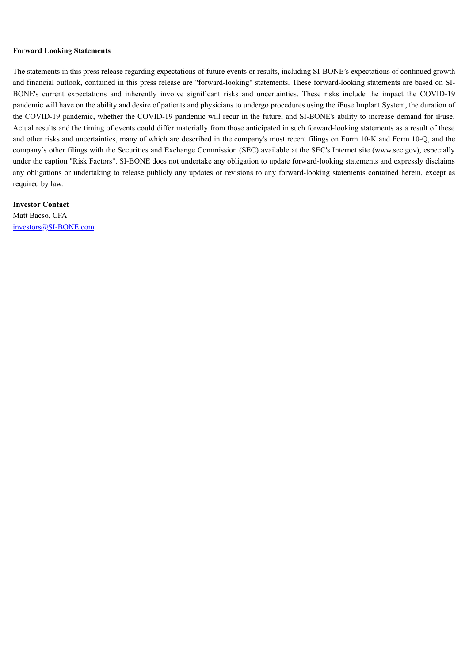#### **Forward Looking Statements**

The statements in this press release regarding expectations of future events or results, including SI-BONE's expectations of continued growth and financial outlook, contained in this press release are "forward-looking" statements. These forward-looking statements are based on SI-BONE's current expectations and inherently involve significant risks and uncertainties. These risks include the impact the COVID-19 pandemic will have on the ability and desire of patients and physicians to undergo procedures using the iFuse Implant System, the duration of the COVID-19 pandemic, whether the COVID-19 pandemic will recur in the future, and SI-BONE's ability to increase demand for iFuse. Actual results and the timing of events could differ materially from those anticipated in such forward-looking statements as a result of these and other risks and uncertainties, many of which are described in the company's most recent filings on Form 10-K and Form 10-Q, and the company's other filings with the Securities and Exchange Commission (SEC) available at the SEC's Internet site (www.sec.gov), especially under the caption "Risk Factors". SI-BONE does not undertake any obligation to update forward-looking statements and expressly disclaims any obligations or undertaking to release publicly any updates or revisions to any forward-looking statements contained herein, except as required by law.

**Investor Contact** Matt Bacso, CFA investors@SI-BONE.com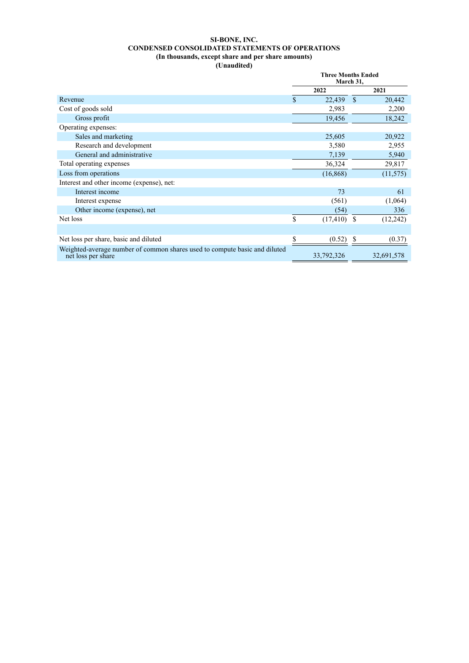## **SI-BONE, INC. CONDENSED CONSOLIDATED STATEMENTS OF OPERATIONS (In thousands, except share and per share amounts) (Unaudited)**

|                                                                                                  | <b>Three Months Ended</b><br>March 31, |                |              |            |
|--------------------------------------------------------------------------------------------------|----------------------------------------|----------------|--------------|------------|
|                                                                                                  | 2022                                   |                | 2021         |            |
| Revenue                                                                                          | \$                                     | 22,439         | <sup>S</sup> | 20,442     |
| Cost of goods sold                                                                               |                                        | 2,983          |              | 2,200      |
| Gross profit                                                                                     |                                        | 19,456         |              | 18,242     |
| Operating expenses:                                                                              |                                        |                |              |            |
| Sales and marketing                                                                              |                                        | 25,605         |              | 20,922     |
| Research and development                                                                         |                                        | 3,580          |              | 2,955      |
| General and administrative                                                                       |                                        | 7,139          |              | 5,940      |
| Total operating expenses                                                                         |                                        | 36,324         |              | 29,817     |
| Loss from operations                                                                             |                                        | (16, 868)      |              | (11, 575)  |
| Interest and other income (expense), net:                                                        |                                        |                |              |            |
| Interest income                                                                                  |                                        | 73             |              | 61         |
| Interest expense                                                                                 |                                        | (561)          |              | (1,064)    |
| Other income (expense), net                                                                      |                                        | (54)           |              | 336        |
| Net loss                                                                                         | \$                                     | $(17, 410)$ \$ |              | (12, 242)  |
|                                                                                                  |                                        |                |              |            |
| Net loss per share, basic and diluted                                                            | \$                                     | (0.52)         |              | (0.37)     |
| Weighted-average number of common shares used to compute basic and diluted<br>net loss per share |                                        | 33,792,326     |              | 32,691,578 |